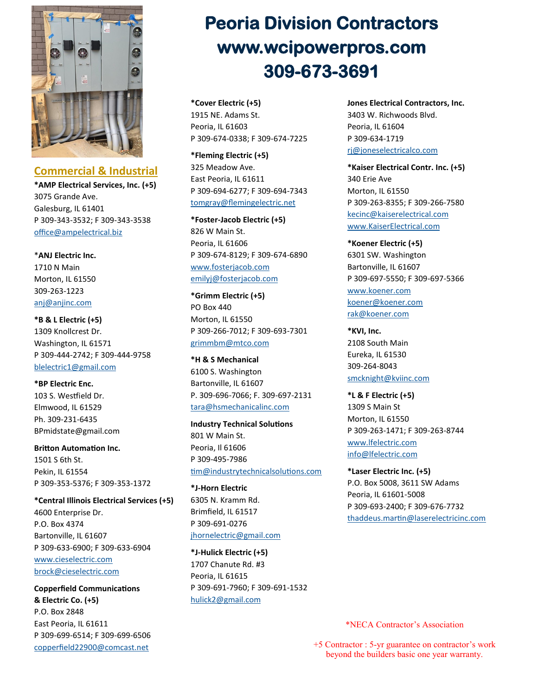

**Commercial & Industrial** 

**\*AMP Electrical Services, Inc. (+5)** 3075 Grande Ave. Galesburg, IL 61401 P 309-343-3532; F 309-343-3538 [office@ampelectrical.biz](mailto:office@ampelectrical.biz)

\***ANJ Electric Inc.** 1710 N Main Morton, IL 61550 309-263-1223 [anj@anjinc.com](mailto:anj@anjinc.com)

**\*B & L Electric (+5)** 1309 Knollcrest Dr. Washington, IL 61571 P 309-444-2742; F 309-444-9758 [blelectric1@gmail.com](mailto:mblelectric1@gmail.com)

**\*BP Electric Enc.**  103 S. Westfield Dr. Elmwood, IL 61529 Ph. 309-231-6435 BPmidstate@gmail.com

**Britton Automation Inc.** 1501 S 6th St. Pekin, IL 61554 P 309-353-5376; F 309-353-1372

**\*Central Illinois Electrical Services (+5)** 4600 Enterprise Dr. P.O. Box 4374 Bartonville, IL 61607 P 309-633-6900; F 309-633-6904 [www.cieselectric.com](http://www.cieselectric.com/) [brock@cieselectric.com](mailto:mbrock@cieselectric.com)

**Copperfield Communications & Electric Co. (+5)** P.O. Box 2848 East Peoria, IL 61611 P 309-699-6514; F 309-699-6506 [copperfield22900@comcast.net](mailto:copperfield22900@comcast.net)

# **Peoria Division Contractors www.wcipowerpros.com 309-673-3691**

**\*Cover Electric (+5)** 1915 NE. Adams St. Peoria, IL 61603 P 309-674-0338; F 309-674-7225

**\*Fleming Electric (+5)** 325 Meadow Ave. East Peoria, IL 61611 P 309-694-6277; F 309-694-7343 [tomgray@flemingelectric.net](mailto:mtomgray@flemingelectric.net)

**\*Foster-Jacob Electric (+5)** 826 W Main St. Peoria, IL 61606 P 309-674-8129; F 309-674-6890 [www.fosterjacob.com](http://www.fosterjacob.com/index.php) [emilyj@fosterjacob.com](mailto:emilyj@fosterjacob.com)

**\*Grimm Electric (+5)** PO Box 440 Morton, IL 61550 P 309-266-7012; F 309-693-7301 [grimmbm@mtco.com](mailto:grimmbm@mtco.com)

**\*H & S Mechanical** 6100 S. Washington Bartonville, IL 61607 P. 309-696-7066; F. 309-697-2131 [tara@hsmechanicalinc.com](mailto:tara@hsmechanicalinc.com)

**Industry Technical Solutions** 801 W Main St. Peoria, Il 61606 P 309-495-7986 [tim@industrytechnicalsolutions.com](mailto:tim@industrytechnicalsoluctions.com)

**\*J-Horn Electric** 6305 N. Kramm Rd. Brimfield, IL 61517 P 309-691-0276 [jhornelectric@gmail.com](mailto:jhornelectric@gmail.com)

**\*J-Hulick Electric (+5)** 1707 Chanute Rd. #3 Peoria, IL 61615 P 309-691-7960; F 309-691-1532 [hulick2@gmail.com](mailto:hulick2@gmail.com)

**Jones Electrical Contractors, Inc.**  3403 W. Richwoods Blvd. Peoria, IL 61604 P 309-634-1719 [rj@joneselectricalco.com](mailto:rj@joneselectricalco.com)

**\*Kaiser Electrical Contr. Inc. (+5)** 340 Erie Ave Morton, IL 61550 P 309-263-8355; F 309-266-7580 [kecinc@kaiserelectrical.com](mailto:kecinc@kaiserelectrical.com) [www.KaiserElectrical.com](http://www.KaiserElectrical.com)

**\*Koener Electric (+5)** 6301 SW. Washington Bartonville, IL 61607 P 309-697-5550; F 309-697-5366 [www.koener.com](http://www.koener.com/) [koener@koener.com](mailto:koener@koener.com) [rak@koener.com](mailto:rak@koener.com)

**\*KVI, Inc.** 2108 South Main Eureka, IL 61530 309-264-8043 [smcknight@kviinc.com](mailto:smcknight@kviinc.com)

**\*L & F Electric (+5)** 1309 S Main St Morton, IL 61550 P 309-263-1471; F 309-263-8744 [www.lfelectric.com](http://lfelectric.com/) [info@lfelectric.com](mailto:minfo@lfelectric.com)

**\*Laser Electric Inc. (+5)** P.O. Box 5008, 3611 SW Adams Peoria, IL 61601-5008 P 309-693-2400; F 309-676-7732 [thaddeus.martin@laserelectricinc.com](mailto:thaddeus.martin@laserelectricinc.com)

\*NECA Contractor's Association

+5 Contractor : 5-yr guarantee on contractor's work beyond the builders basic one year warranty.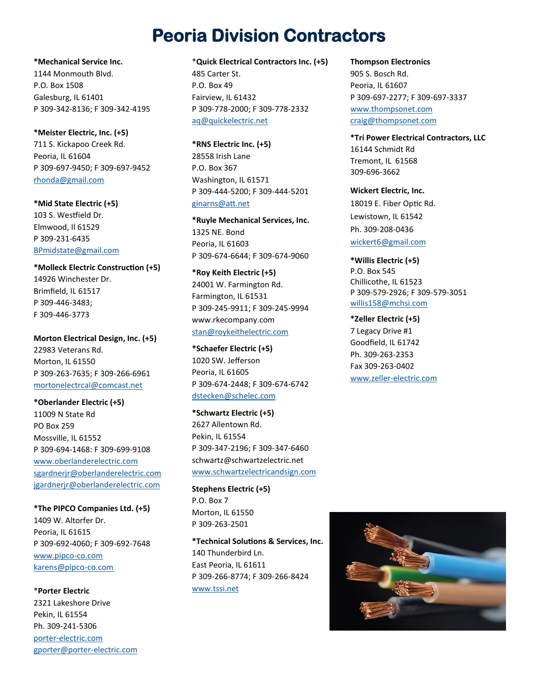### **Peoria Division Contractors**

**\*Mechanical Service Inc.** 1144 Monmouth Blvd. P.O. Box 1508 Galesburg, IL 61401 P 309-342-8136; F 309-342-4195

**\*Meister Electric, Inc. (+5)** 711 S. Kickapoo Creek Rd. Peoria, IL 61604 P 309-697-9450; F 309-697-9452 [rhonda@gmail.com](mailto:rhonda@gmail.com)

**\*Mid State Electric (+5)** 103 S. Westfield Dr. Elmwood, Il 61529 P 309-231-6435 [BPmidstate@gmail.com](mailto:BPmidstate@gmail.com)

**\*Molleck Electric Construction (+5)** 14926 Winchester Dr. Brimfield, IL 61517 P 309-446-3483; F 309-446-3773

**Morton Electrical Design, Inc. (+5)** 22983 Veterans Rd. Morton, IL 61550 P 309-263-7635; F 309-266-6961 [mortonelectrcal@comcast.net](mailto:mortonelectrcal@comcast.net)

**\*Oberlander Electric (+5)** 11009 N State Rd PO Box 259 Mossville, IL 61552 P 309-694-1468: F 309-699-9108 [www.oberlanderelectric.com](http://www.oberlanderelectric.com/) [sgardnerjr@oberlanderelectric.com](mailto:sgardnerjr@oberlanderelectric.com) [jgardnerjr@oberlanderelectric.com](mailto:jgardnerjr@oberlanderelectric.com) 

**\*The PIPCO Companies Ltd. (+5)** 1409 W. Altorfer Dr. Peoria, IL 61615 P 309-692-4060; F 309-692-7648 [www.pipco](http://www.pipco-co.com/)-co.com [karens@pipco](mailto:karens@pipco-co.com)-co.com

\***Porter Electric** 2321 Lakeshore Drive Pekin, IL 61554 Ph. 309-241-5306 porter-[electric.com](http://porter-electric.com/) [gporter@porter](mailto:gporter@porter-electric.com)-electric.com

#### \***Quick Electrical Contractors Inc. (+5)**

485 Carter St. P.O. Box 49 Fairview, IL 61432 P 309-778-2000; F 309-778-2332 [aq@quickelectric.net](mailto:maq@quickelectric.net)

**\*RNS Electric Inc. (+5)** 28558 Irish Lane P.O. Box 367 Washington, IL 61571 P 309-444-5200; F 309-444-5201 [ginarns@att.net](mailto:mginarns@att.net)

**\*Ruyle Mechanical Services, Inc.** 1325 NE. Bond Peoria, IL 61603 P 309-674-6644; F 309-674-9060

**\*Roy Keith Electric (+5)** 24001 W. Farmington Rd. Farmington, IL 61531 P 309-245-9911; F 309-245-9994 www.rkecompany.com [stan@roykeithelectric.com](mailto:stan@roykeithelectric.com)

**\*Schaefer Electric (+5)** 1020 SW. Jefferson Peoria, IL 61605 P 309-674-2448; F 309-674-6742 [dstecken@schelec.com](mailto:dstecken@schelec.com)

**\*Schwartz Electric (+5)** 2627 Allentown Rd. Pekin, IL 61554 P 309-347-2196; F 309-347-6460 schwartz@schwartzelectric.net [www.schwartzelectricandsign.com](http://schwartzelectricandsign.com/)

**Stephens Electric (+5)** P.O. Box 7 Morton, IL 61550 P 309-263-2501

**\*Technical Solutions & Services, Inc.** 140 Thunderbird Ln. East Peoria, IL 61611 P 309-266-8774; F 309-266-8424 [www.tssi.net](http://www.tssi.net)

**Thompson Electronics** 905 S. Bosch Rd. Peoria, IL 61607 P 309-697-2277; F 309-697-3337 [www.thompsonet.com](https://thompsonet.com/) [craig@thompsonet.com](mailto:craig@thompsonet.com)

**\*Tri Power Electrical Contractors, LLC** 16144 Schmidt Rd Tremont, IL 61568 309-696-3662

**Wickert Electric, Inc.** 18019 E. Fiber Optic Rd. Lewistown, IL 61542 Ph. 309-208-0436 [wickert6@gmail.com](mailto:wickert6@gmail.com)

**\*Willis Electric (+5)** P.O. Box 545 Chillicothe, IL 61523 P 309-579-2926; F 309-579-3051 [willis158@mchsi.com](mailto:willis158@mch/si.com)

**\*Zeller Electric (+5)** 7 Legacy Drive #1 Goodfield, IL 61742 Ph. 309-263-2353 Fax 309-263-0402 www.zeller-[electric.com](http://www.zeller-electric.com)

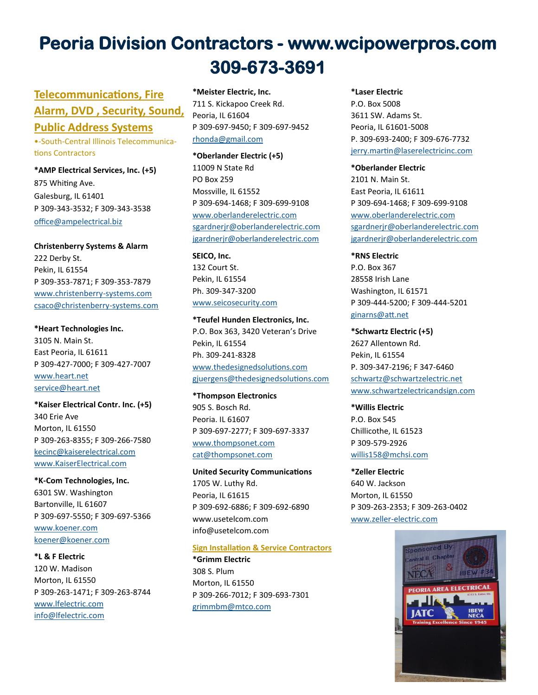## **Peoria Division Contractors - www.wcipowerpros.com 309-673-3691**

### **Telecommunications, Fire Alarm, DVD , Security, Sound,**

### **Public Address Systems**

•-South-Central Illinois Telecommunications Contractors

**\*AMP Electrical Services, Inc. (+5)** 875 Whiting Ave. Galesburg, IL 61401 P 309-343-3532; F 309-343-3538 [office@ampelectrical.biz](mailto:office@ampelectrical.biz)

**Christenberry Systems & Alarm**  222 Derby St. Pekin, IL 61554 P 309-353-7871; F 309-353-7879 [www.christenberry](http://www.christenberry-systems.com/#/home/)-systems.com [csaco@christenberry](mailto:csaco@christenberry-systems.com)-systems.com

**\*Heart Technologies Inc.** 3105 N. Main St. East Peoria, IL 61611 P 309-427-7000; F 309-427-7007 [www.heart.net](http://www.heart.net) [service@heart.net](mailto:service@heart.net)

**\*Kaiser Electrical Contr. Inc. (+5)** 340 Erie Ave Morton, IL 61550 P 309-263-8355; F 309-266-7580 [kecinc@kaiserelectrical.com](mailto:kecinc@kaiserelectrical.com) [www.KaiserElectrical.com](http://www.KaiserElectrical.com)

**\*K-Com Technologies, Inc.** 6301 SW. Washington Bartonville, IL 61607 P 309-697-5550; F 309-697-5366 [www.koener.com](http://www.koener.com/) [koener@koener.com](mailto:koener@koener.com)

**\*L & F Electric** 120 W. Madison Morton, IL 61550 P 309-263-1471; F 309-263-8744 [www.lfelectric.com](http://lfelectric.com/) [info@lfelectric.com](mailto:info@lfelectric.com)

**\*Meister Electric, Inc.** 711 S. Kickapoo Creek Rd. Peoria, IL 61604 P 309-697-9450; F 309-697-9452 [rhonda@gmail.com](mailto:rhonda@gmail.com)

**\*Oberlander Electric (+5)** 11009 N State Rd PO Box 259 Mossville, IL 61552 P 309-694-1468; F 309-699-9108 [www.oberlanderelectric.com](http://www.oberlanderelectric.com/) [sgardnerjr@oberlanderelectric.com](mailto:msgardnerjr@oberlanderelectric.com) [jgardnerjr@oberlanderelectric.com](mailto:jgardnerjr@oberlanderelectric.com)

**SEICO, Inc.** 132 Court St. Pekin, IL 61554 Ph. 309-347-3200 [www.seicosecurity.com](http://www.seicosecurity.com)

**\*Teufel Hunden Electronics, Inc.**  P.O. Box 363, 3420 Veteran's Drive Pekin, IL 61554 Ph. 309-241-8328 [www.thedesignedsolutions.com](http://www.thedesignedsolutions.com) [gjuergens@thedesignedsolutions.com](mailto:gjuergens@thedesignedsolutions.com)

**\*Thompson Electronics** 905 S. Bosch Rd. Peoria. IL 61607 P 309-697-2277; F 309-697-3337 [www.thompsonet.com](https://thompsonet.com/) [cat@thompsonet.com](mailto:cat@thompsonet.com)

**United Security Communications** 1705 W. Luthy Rd. Peoria, IL 61615 P 309-692-6886; F 309-692-6890 www.usetelcom.com info@usetelcom.com

#### **Sign Installation & Service Contractors**

**\*Grimm Electric** 308 S. Plum Morton, IL 61550 P 309-266-7012; F 309-693-7301 [grimmbm@mtco.com](mailto:grimmbm@mtco.com)

#### **\*Laser Electric**

P.O. Box 5008 3611 SW. Adams St. Peoria, IL 61601-5008 P. 309-693-2400; F 309-676-7732 [jerry.martin@laserelectricinc.com](mailto:mjerry.martin@laserelectricinc.com) 

#### **\*Oberlander Electric**

2101 N. Main St. East Peoria, IL 61611 P 309-694-1468; F 309-699-9108 [www.oberlanderelectric.com](http://www.oberlanderelectric.com/) [sgardnerjr@oberlanderelectric.com](mailto:msgardnerjr@oberlanderelectric.com) [jgardnerjr@oberlanderelectric.com](mailto:mjgardnerjr@oberlanderelectric.com)

#### **\*RNS Electric**

P.O. Box 367 28558 Irish Lane Washington, IL 61571 P 309-444-5200; F 309-444-5201 [ginarns@att.net](mailto:ginarns@att.net)

**\*Schwartz Electric (+5)** 2627 Allentown Rd. Pekin, IL 61554 P. 309-347-2196; F 347-6460 [schwartz@schwartzelectric.net](mailto:schwartz@schwartzelectric.net) [www.schwartzelectricandsign.com](http://schwartzelectricandsign.com/)

#### **\*Willis Electric**

P.O. Box 545 Chillicothe, IL 61523 P 309-579-2926 [willis158@mchsi.com](mailto:willis158@mchsi.com)

**\*Zeller Electric** 640 W. Jackson Morton, IL 61550 P 309-263-2353; F 309-263-0402 www.zeller-[electric.com](http://www.zeller-electric.com/)